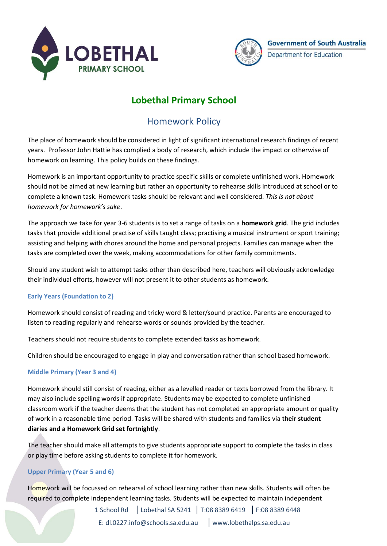



# **Lobethal Primary School**

## Homework Policy

The place of homework should be considered in light of significant international research findings of recent years. Professor John Hattie has complied a body of research, which include the impact or otherwise of homework on learning. This policy builds on these findings.

Homework is an important opportunity to practice specific skills or complete unfinished work. Homework should not be aimed at new learning but rather an opportunity to rehearse skills introduced at school or to complete a known task. Homework tasks should be relevant and well considered. *This is not about homework for homework's sake*.

The approach we take for year 3-6 students is to set a range of tasks on a **homework grid**. The grid includes tasks that provide additional practise of skills taught class; practising a musical instrument or sport training; assisting and helping with chores around the home and personal projects. Families can manage when the tasks are completed over the week, making accommodations for other family commitments.

Should any student wish to attempt tasks other than described here, teachers will obviously acknowledge their individual efforts, however will not present it to other students as homework.

### **Early Years (Foundation to 2)**

Homework should consist of reading and tricky word & letter/sound practice. Parents are encouraged to listen to reading regularly and rehearse words or sounds provided by the teacher.

Teachers should not require students to complete extended tasks as homework.

Children should be encouraged to engage in play and conversation rather than school based homework.

### **Middle Primary (Year 3 and 4)**

Homework should still consist of reading, either as a levelled reader or texts borrowed from the library. It may also include spelling words if appropriate. Students may be expected to complete unfinished classroom work if the teacher deems that the student has not completed an appropriate amount or quality of work in a reasonable time period. Tasks will be shared with students and families via **their student diaries and a Homework Grid set fortnightly**.

The teacher should make all attempts to give students appropriate support to complete the tasks in class or play time before asking students to complete it for homework.

### **Upper Primary (Year 5 and 6)**

Homework will be focussed on rehearsal of school learning rather than new skills. Students will often be required to complete independent learning tasks. Students will be expected to maintain independent